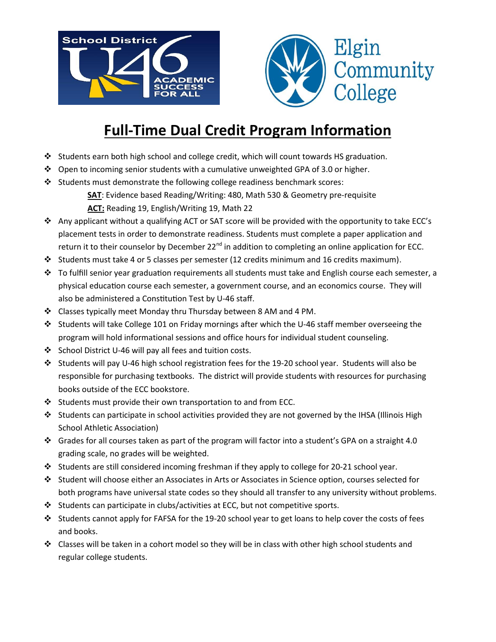



# **Full-Time Dual Credit Program Information**

- Students earn both high school and college credit, which will count towards HS graduation.
- Open to incoming senior students with a cumulative unweighted GPA of 3.0 or higher.
- Students must demonstrate the following college readiness benchmark scores:
	- **SAT**: Evidence based Reading/Writing: 480, Math 530 & Geometry pre-requisite **ACT:** Reading 19, English/Writing 19, Math 22
- Any applicant without a qualifying ACT or SAT score will be provided with the opportunity to take ECC's placement tests in order to demonstrate readiness. Students must complete a paper application and return it to their counselor by December 22<sup>nd</sup> in addition to completing an online application for ECC.
- Students must take 4 or 5 classes per semester (12 credits minimum and 16 credits maximum).
- $\div$  To fulfill senior year graduation requirements all students must take and English course each semester, a physical education course each semester, a government course, and an economics course. They will also be administered a Constitution Test by U-46 staff.
- Classes typically meet Monday thru Thursday between 8 AM and 4 PM.
- Students will take College 101 on Friday mornings after which the U-46 staff member overseeing the program will hold informational sessions and office hours for individual student counseling.
- ❖ School District U-46 will pay all fees and tuition costs.
- Students will pay U-46 high school registration fees for the 19-20 school year. Students will also be responsible for purchasing textbooks. The district will provide students with resources for purchasing books outside of the ECC bookstore.
- $\cdot$  Students must provide their own transportation to and from ECC.
- Students can participate in school activities provided they are not governed by the IHSA (Illinois High School Athletic Association)
- Grades for all courses taken as part of the program will factor into a student's GPA on a straight 4.0 grading scale, no grades will be weighted.
- Students are still considered incoming freshman if they apply to college for 20-21 school year.
- Student will choose either an Associates in Arts or Associates in Science option, courses selected for both programs have universal state codes so they should all transfer to any university without problems.
- Students can participate in clubs/activities at ECC, but not competitive sports.
- Students cannot apply for FAFSA for the 19-20 school year to get loans to help cover the costs of fees and books.
- $\div$  Classes will be taken in a cohort model so they will be in class with other high school students and regular college students.